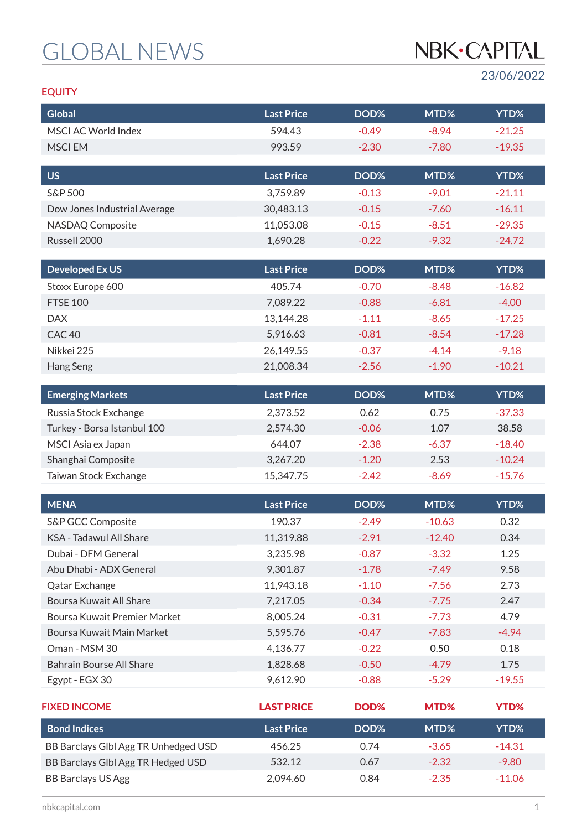# GLOBAL NEWS

# NBK·CAPITAL

23/06/2022

### EQUITY

| <b>Global</b>                                  | <b>Last Price</b>     | DOD%               | MTD%               | YTD%         |
|------------------------------------------------|-----------------------|--------------------|--------------------|--------------|
| MSCI AC World Index                            | 594.43                | $-0.49$            | $-8.94$            | $-21.25$     |
| <b>MSCIEM</b>                                  | 993.59                | $-2.30$            | $-7.80$            | $-19.35$     |
|                                                |                       |                    |                    |              |
| <b>US</b>                                      | <b>Last Price</b>     | DOD%               | MTD%               | YTD%         |
| <b>S&amp;P 500</b>                             | 3,759.89              | $-0.13$            | $-9.01$            | $-21.11$     |
| Dow Jones Industrial Average                   | 30,483.13             | $-0.15$            | $-7.60$            | $-16.11$     |
| NASDAQ Composite                               | 11,053.08             | $-0.15$            | $-8.51$            | $-29.35$     |
| Russell 2000                                   | 1,690.28              | $-0.22$            | $-9.32$            | $-24.72$     |
| <b>Developed Ex US</b>                         | <b>Last Price</b>     | DOD%               | MTD%               | YTD%         |
| Stoxx Europe 600                               | 405.74                | $-0.70$            | $-8.48$            | $-16.82$     |
| <b>FTSE 100</b>                                | 7,089.22              | $-0.88$            | $-6.81$            | $-4.00$      |
| <b>DAX</b>                                     | 13,144.28             | $-1.11$            | $-8.65$            | $-17.25$     |
| CAC <sub>40</sub>                              | 5,916.63              | $-0.81$            | $-8.54$            | $-17.28$     |
| Nikkei 225                                     | 26,149.55             | $-0.37$            | $-4.14$            | $-9.18$      |
| Hang Seng                                      | 21,008.34             | $-2.56$            | $-1.90$            | $-10.21$     |
|                                                |                       |                    |                    |              |
| <b>Emerging Markets</b>                        | <b>Last Price</b>     | DOD%               | MTD%               | YTD%         |
| Russia Stock Exchange                          | 2,373.52              | 0.62               | 0.75               | $-37.33$     |
| Turkey - Borsa Istanbul 100                    | 2,574.30              | $-0.06$            | 1.07               | 38.58        |
| MSCI Asia ex Japan                             | 644.07                | $-2.38$            | $-6.37$            | $-18.40$     |
| Shanghai Composite                             | 3,267.20              | $-1.20$            | 2.53               | $-10.24$     |
| Taiwan Stock Exchange                          | 15,347.75             | $-2.42$            | $-8.69$            | $-15.76$     |
| <b>MENA</b>                                    | <b>Last Price</b>     | DOD%               | MTD%               | YTD%         |
|                                                |                       |                    | $-10.63$           |              |
| S&P GCC Composite<br>KSA - Tadawul All Share   | 190.37                | $-2.49$            |                    | 0.32         |
|                                                | 11,319.88             | $-2.91$            | $-12.40$           | 0.34         |
| Dubai - DFM General<br>Abu Dhabi - ADX General | 3,235.98              | $-0.87$            | $-3.32$            | 1.25         |
|                                                | 9,301.87              | $-1.78$<br>$-1.10$ | $-7.49$<br>$-7.56$ | 9.58<br>2.73 |
| Qatar Exchange<br>Boursa Kuwait All Share      | 11,943.18<br>7,217.05 | $-0.34$            | $-7.75$            | 2.47         |
| Boursa Kuwait Premier Market                   | 8,005.24              | $-0.31$            | $-7.73$            | 4.79         |
| Boursa Kuwait Main Market                      | 5,595.76              | $-0.47$            | $-7.83$            | $-4.94$      |
| Oman - MSM 30                                  | 4,136.77              | $-0.22$            | 0.50               | 0.18         |
| <b>Bahrain Bourse All Share</b>                | 1,828.68              | $-0.50$            | $-4.79$            | 1.75         |
| Egypt - EGX 30                                 | 9,612.90              | $-0.88$            | $-5.29$            | $-19.55$     |
|                                                |                       |                    |                    |              |
| <b>FIXED INCOME</b>                            | <b>LAST PRICE</b>     | DOD%               | MTD%               | <b>YTD%</b>  |
| <b>Bond Indices</b>                            | <b>Last Price</b>     | DOD%               | MTD%               | YTD%         |
| BB Barclays Glbl Agg TR Unhedged USD           | 456.25                | 0.74               | $-3.65$            | $-14.31$     |
| BB Barclays Glbl Agg TR Hedged USD             | 532.12                | 0.67               | $-2.32$            | $-9.80$      |
| <b>BB Barclays US Agg</b>                      | 2,094.60              | 0.84               | $-2.35$            | $-11.06$     |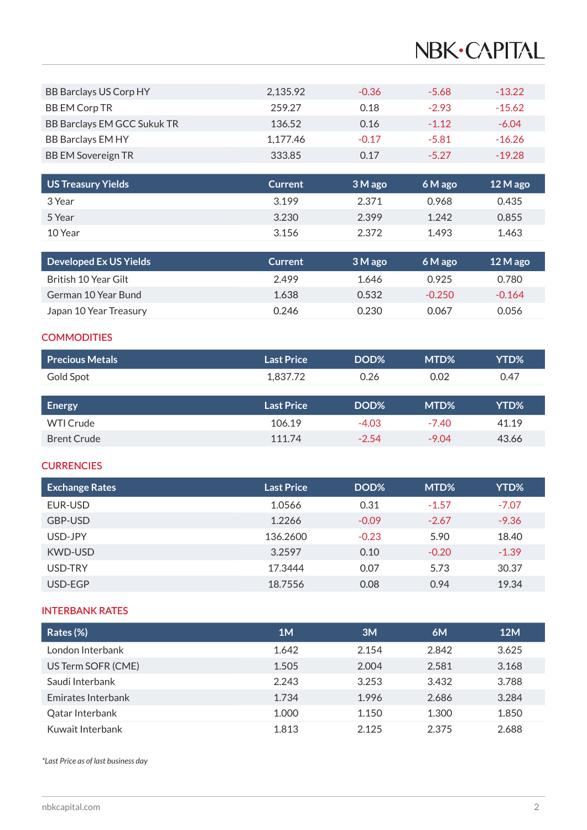# NBK·CAPITAL

| BB Barclays US Corp HY      | 2,135.92 | $-0.36$ | $-5.68$ | $-13.22$ |
|-----------------------------|----------|---------|---------|----------|
| <b>BB EM Corp TR</b>        | 259.27   | 0.18    | $-2.93$ | $-15.62$ |
| BB Barclays EM GCC Sukuk TR | 136.52   | 0.16    | $-1.12$ | $-6.04$  |
| <b>BB Barclays EM HY</b>    | 1,177.46 | $-0.17$ | $-5.81$ | $-16.26$ |
| <b>BB EM Sovereign TR</b>   | 333.85   | 0.17    | $-5.27$ | $-19.28$ |

| US Treasury Yields | <b>Current</b> | 3 M ago | $6M$ ago | $12M$ ago |
|--------------------|----------------|---------|----------|-----------|
| 3 Year             | 3.199          | 2.371   | 0.968    | 0.435     |
| 5 Year             | 3.230          | 2.399   | 1.242    | 0.855     |
| 10 Year            | 3.156          | 2.372   | 1.493    | 1.463     |

| <b>Developed Ex US Yields</b> | <b>Current</b> | 3 M ago | 6 M ago  | $12$ M ago |
|-------------------------------|----------------|---------|----------|------------|
| British 10 Year Gilt          | 2.499          | 1.646   | 0.925    | 0.780      |
| German 10 Year Bund           | 1.638          | 0.532   | $-0.250$ | $-0.164$   |
| Japan 10 Year Treasury        | 0.246          | 0.230   | 0.067    | 0.056      |

#### **COMMODITIES**

| Precious Metals | <b>Last Price</b>                     | DOD%        | MTD <sub>%</sub> | YTD%       |
|-----------------|---------------------------------------|-------------|------------------|------------|
| Gold Spot       | 1.837.72                              | 0.26        | 0.02             | 0.47       |
|                 | $\mathbf{r}$ . The state $\mathbf{r}$ | <b>DODA</b> | $\mathbf{F}$     | $\sqrt{2}$ |

| Energy             | Last Price | DOD%    | MTD%    | YTD%' |
|--------------------|------------|---------|---------|-------|
| WTI Crude          | 106.19     | $-4.03$ | $-7.40$ | 41.19 |
| <b>Brent Crude</b> | 111.74     | $-2.54$ | $-9.04$ | 43.66 |

#### **CURRENCIES**

| <b>Exchange Rates</b> | <b>Last Price</b> | DOD%    | MTD%    | YTD%    |
|-----------------------|-------------------|---------|---------|---------|
| EUR-USD               | 1.0566            | 0.31    | $-1.57$ | $-7.07$ |
| GBP-USD               | 1.2266            | $-0.09$ | $-2.67$ | $-9.36$ |
| USD-JPY               | 136,2600          | $-0.23$ | 5.90    | 18.40   |
| <b>KWD-USD</b>        | 3.2597            | 0.10    | $-0.20$ | $-1.39$ |
| USD-TRY               | 17.3444           | 0.07    | 5.73    | 30.37   |
| USD-EGP               | 18.7556           | 0.08    | 0.94    | 19.34   |

#### INTERBANK RATES

| Rates (%)                 | 1M    | 3M    | 6M    | <b>12M</b> |
|---------------------------|-------|-------|-------|------------|
| London Interbank          | 1.642 | 2.154 | 2.842 | 3.625      |
| US Term SOFR (CME)        | 1.505 | 2.004 | 2.581 | 3.168      |
| Saudi Interbank           | 2.243 | 3.253 | 3.432 | 3.788      |
| <b>Emirates Interbank</b> | 1.734 | 1.996 | 2.686 | 3.284      |
| Qatar Interbank           | 1.000 | 1.150 | 1.300 | 1.850      |
| Kuwait Interbank          | 1.813 | 2.125 | 2.375 | 2.688      |

*\*Last Price as of last business day*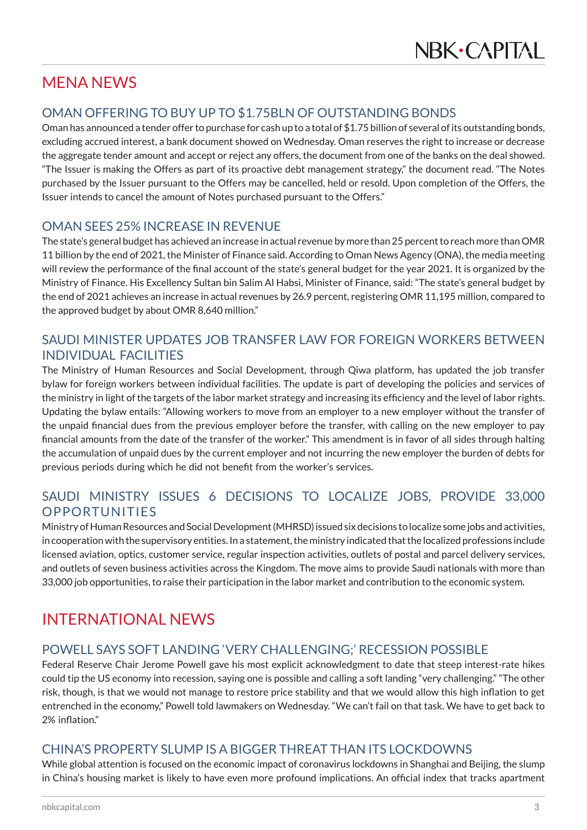## MENA NEWS

### OMAN OFFERING TO BUY UP TO \$1.75BLN OF OUTSTANDING BONDS

Oman has announced a tender offer to purchase for cash up to a total of \$1.75 billion of several of its outstanding bonds, excluding accrued interest, a bank document showed on Wednesday. Oman reserves the right to increase or decrease the aggregate tender amount and accept or reject any offers, the document from one of the banks on the deal showed. "The Issuer is making the Offers as part of its proactive debt management strategy," the document read. "The Notes purchased by the Issuer pursuant to the Offers may be cancelled, held or resold. Upon completion of the Offers, the Issuer intends to cancel the amount of Notes purchased pursuant to the Offers."

#### OMAN SEES 25% INCREASE IN REVENUE

The state's general budget has achieved an increase in actual revenue by more than 25 percent to reach more than OMR 11 billion by the end of 2021, the Minister of Finance said. According to Oman News Agency (ONA), the media meeting will review the performance of the final account of the state's general budget for the year 2021. It is organized by the Ministry of Finance. His Excellency Sultan bin Salim Al Habsi, Minister of Finance, said: "The state's general budget by the end of 2021 achieves an increase in actual revenues by 26.9 percent, registering OMR 11,195 million, compared to the approved budget by about OMR 8,640 million."

### SAUDI MINISTER UPDATES JOB TRANSFER LAW FOR FOREIGN WORKERS BETWEEN INDIVIDUAL FACILITIES

The Ministry of Human Resources and Social Development, through Qiwa platform, has updated the job transfer bylaw for foreign workers between individual facilities. The update is part of developing the policies and services of the ministry in light of the targets of the labor market strategy and increasing its efficiency and the level of labor rights. Updating the bylaw entails: "Allowing workers to move from an employer to a new employer without the transfer of the unpaid financial dues from the previous employer before the transfer, with calling on the new employer to pay financial amounts from the date of the transfer of the worker." This amendment is in favor of all sides through halting the accumulation of unpaid dues by the current employer and not incurring the new employer the burden of debts for previous periods during which he did not benefit from the worker's services.

### SAUDI MINISTRY ISSUES 6 DECISIONS TO LOCALIZE JOBS, PROVIDE 33,000 OPPORTUNITIES

Ministry of Human Resources and Social Development (MHRSD) issued six decisions to localize some jobs and activities, in cooperation with the supervisory entities. In a statement, the ministry indicated that the localized professions include licensed aviation, optics, customer service, regular inspection activities, outlets of postal and parcel delivery services, and outlets of seven business activities across the Kingdom. The move aims to provide Saudi nationals with more than 33,000 job opportunities, to raise their participation in the labor market and contribution to the economic system.

## INTERNATIONAL NEWS

#### POWELL SAYS SOFT LANDING 'VERY CHALLENGING;' RECESSION POSSIBLE

Federal Reserve Chair Jerome Powell gave his most explicit acknowledgment to date that steep interest-rate hikes could tip the US economy into recession, saying one is possible and calling a soft landing "very challenging." "The other risk, though, is that we would not manage to restore price stability and that we would allow this high inflation to get entrenched in the economy," Powell told lawmakers on Wednesday. "We can't fail on that task. We have to get back to 2% inflation."

#### CHINA'S PROPERTY SLUMP IS A BIGGER THREAT THAN ITS LOCKDOWNS

While global attention is focused on the economic impact of coronavirus lockdowns in Shanghai and Beijing, the slump in China's housing market is likely to have even more profound implications. An official index that tracks apartment